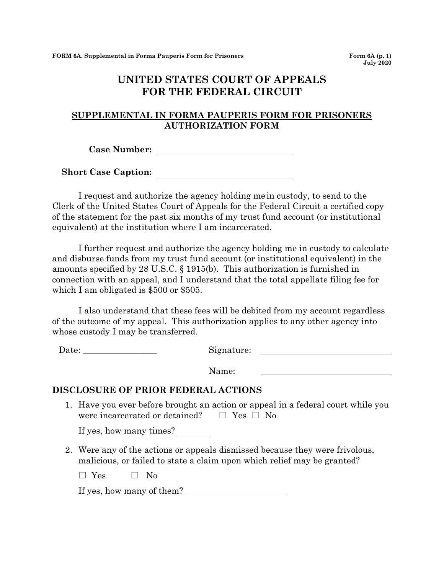## **UNITED STATES COURT OF APPEALS FOR THE FEDERAL CIRCUIT**

## **SUPPLEMENTAL IN FORMA PAUPERIS FORM FOR PRISONERS AUTHORIZATION FORM**

**Case Number:**

**Short Case Caption:**

I request and authorize the agency holding me in custody, to send to the Clerk of the United States Court of Appeals for the Federal Circuit a certified copy of the statement for the past six months of my trust fund account (or institutional equivalent) at the institution where I am incarcerated.

I further request and authorize the agency holding me in custody to calculate and disburse funds from my trust fund account (or institutional equivalent) in the amounts specified by 28 U.S.C. § 1915(b). This authorization is furnished in connection with an appeal, and I understand that the total appellate filing fee for which I am obligated is \$500 or \$505.

I also understand that these fees will be debited from my account regardless of the outcome of my appeal. This authorization applies to any other agency into whose custody I may be transferred.

Date: Signature:

Name:

## **DISCLOSURE OF PRIOR FEDERAL ACTIONS**

1. Have you ever before brought an action or appeal in a federal court while you were incarcerated or detained?  $□$  Yes  $□$  No

If yes, how many times?

2. Were any of the actions or appeals dismissed because they were frivolous, malicious, or failed to state a claim upon which relief may be granted?

 $\square$  Yes  $\square$  No

If yes, how many of them?